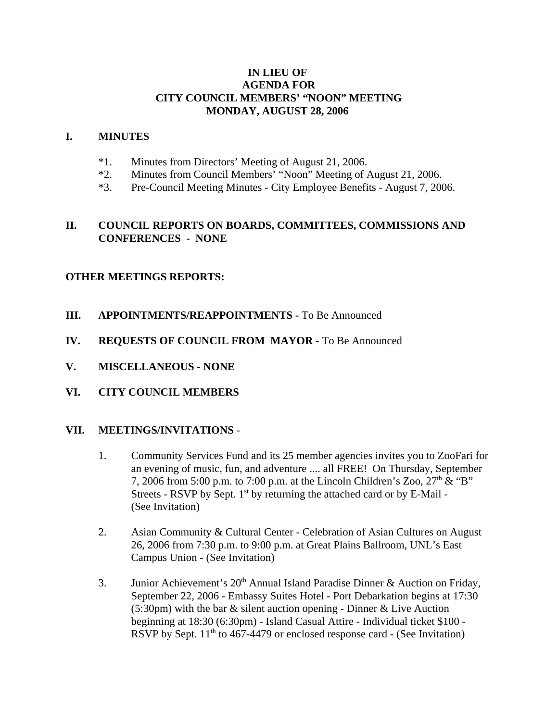## **IN LIEU OF AGENDA FOR CITY COUNCIL MEMBERS' "NOON" MEETING MONDAY, AUGUST 28, 2006**

### **I. MINUTES**

- \*1. Minutes from Directors' Meeting of August 21, 2006.
- \*2. Minutes from Council Members' "Noon" Meeting of August 21, 2006.
- \*3. Pre-Council Meeting Minutes City Employee Benefits August 7, 2006.

## **II. COUNCIL REPORTS ON BOARDS, COMMITTEES, COMMISSIONS AND CONFERENCES - NONE**

## **OTHER MEETINGS REPORTS:**

- **III.** APPOINTMENTS/REAPPOINTMENTS To Be Announced
- **IV. REQUESTS OF COUNCIL FROM MAYOR -** To Be Announced
- **V. MISCELLANEOUS NONE**
- **VI. CITY COUNCIL MEMBERS**

#### **VII. MEETINGS/INVITATIONS** -

- 1. Community Services Fund and its 25 member agencies invites you to ZooFari for an evening of music, fun, and adventure .... all FREE! On Thursday, September 7, 2006 from 5:00 p.m. to 7:00 p.m. at the Lincoln Children's Zoo,  $27<sup>th</sup>$  & "B" Streets - RSVP by Sept.  $1<sup>st</sup>$  by returning the attached card or by E-Mail -(See Invitation)
- 2. Asian Community & Cultural Center Celebration of Asian Cultures on August 26, 2006 from 7:30 p.m. to 9:00 p.m. at Great Plains Ballroom, UNL's East Campus Union - (See Invitation)
- 3. Junior Achievement's  $20<sup>th</sup>$  Annual Island Paradise Dinner & Auction on Friday, September 22, 2006 - Embassy Suites Hotel - Port Debarkation begins at 17:30 (5:30pm) with the bar & silent auction opening - Dinner & Live Auction beginning at 18:30 (6:30pm) - Island Casual Attire - Individual ticket \$100 - RSVP by Sept.  $11<sup>th</sup>$  to 467-4479 or enclosed response card - (See Invitation)